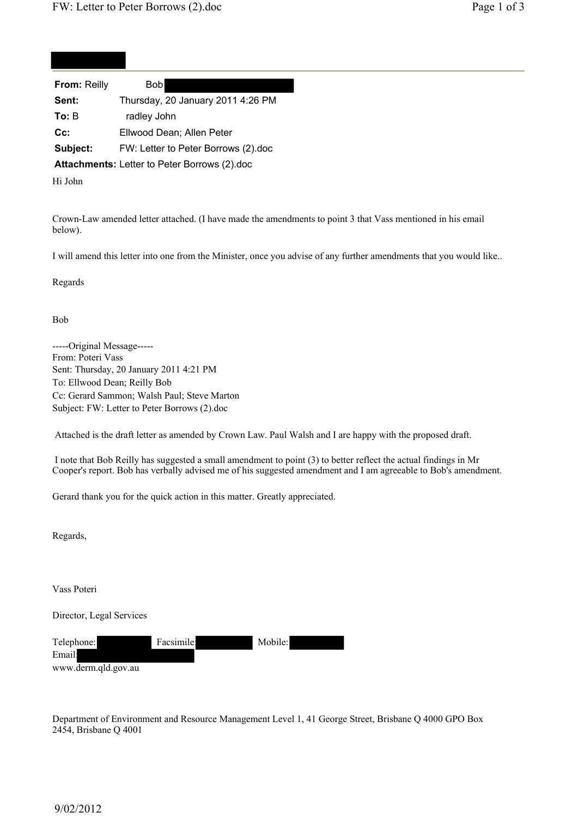| <b>From: Reilly</b> | <b>Bob</b>                                    |
|---------------------|-----------------------------------------------|
| Sent:               | Thursday, 20 January 2011 4:26 PM             |
| To: B               | radley John                                   |
| $Cc$ :              | Ellwood Dean; Allen Peter                     |
| Subject:            | FW: Letter to Peter Borrows (2).doc           |
|                     | Attachmente: Lotter to Deter Perrouse (2) dee |

**Attachments:** Letter to Peter Borrows (2).doc

Hi John

Crown-Law amended letter attached. (I have made the amendments to point 3 that Vass mentioned in his email below).

I will amend this letter into one from the Minister, once you advise of any further amendments that you would like..

Regards

Bob

-----Original Message----- From: Poteri Vass Sent: Thursday, 20 January 2011 4:21 PM To: Ellwood Dean; Reilly Bob Cc: Gerard Sammon; Walsh Paul; Steve Marton Subject: FW: Letter to Peter Borrows (2).doc

Attached is the draft letter as amended by Crown Law. Paul Walsh and I are happy with the proposed draft.

 I note that Bob Reilly has suggested a small amendment to point (3) to better reflect the actual findings in Mr Cooper's report. Bob has verbally advised me of his suggested amendment and I am agreeable to Bob's amendment.

Gerard thank you for the quick action in this matter. Greatly appreciated.

Regards,

Vass Poteri

Director, Legal Services

| Telephone:          | Facsimile: | Mobile: |
|---------------------|------------|---------|
| Email:              |            |         |
| www.derm.qld.gov.au |            |         |

Department of Environment and Resource Management Level 1, 41 George Street, Brisbane Q 4000 GPO Box 2454, Brisbane Q 4001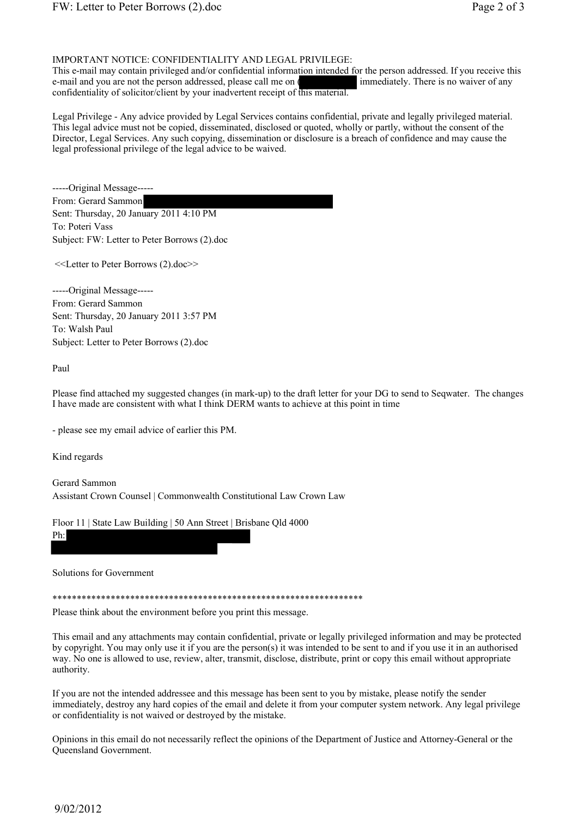## IMPORTANT NOTICE: CONFIDENTIALITY AND LEGAL PRIVILEGE:

This e-mail may contain privileged and/or confidential information intended for the person addressed. If you receive this e-mail and you are not the person addressed, please call me on ( immediately. There is no waiver of any confidentiality of solicitor/client by your inadvertent receipt of this material.

Legal Privilege - Any advice provided by Legal Services contains confidential, private and legally privileged material. This legal advice must not be copied, disseminated, disclosed or quoted, wholly or partly, without the consent of the Director, Legal Services. Any such copying, dissemination or disclosure is a breach of confidence and may cause the legal professional privilege of the legal advice to be waived.

-----Original Message----- From: Gerard Sammon Sent: Thursday, 20 January 2011 4:10 PM To: Poteri Vass Subject: FW: Letter to Peter Borrows (2).doc

<<Letter to Peter Borrows (2).doc>>

-----Original Message----- From: Gerard Sammon Sent: Thursday, 20 January 2011 3:57 PM To: Walsh Paul Subject: Letter to Peter Borrows (2).doc

Paul

Please find attached my suggested changes (in mark-up) to the draft letter for your DG to send to Seqwater. The changes I have made are consistent with what I think DERM wants to achieve at this point in time

- please see my email advice of earlier this PM.

Kind regards

Gerard Sammon Assistant Crown Counsel | Commonwealth Constitutional Law Crown Law

Floor 11 | State Law Building | 50 Ann Street | Brisbane Qld 4000

Ph:

Solutions for Government

\*\*\*\*\*\*\*\*\*\*\*\*\*\*\*\*\*\*\*\*\*\*\*\*\*\*\*\*\*\*\*\*\*\*\*\*\*\*\*\*\*\*\*\*\*\*\*\*\*\*\*\*\*\*\*\*\*\*\*\*\*\*\*\*

Please think about the environment before you print this message.

This email and any attachments may contain confidential, private or legally privileged information and may be protected by copyright. You may only use it if you are the person(s) it was intended to be sent to and if you use it in an authorised way. No one is allowed to use, review, alter, transmit, disclose, distribute, print or copy this email without appropriate authority.

If you are not the intended addressee and this message has been sent to you by mistake, please notify the sender immediately, destroy any hard copies of the email and delete it from your computer system network. Any legal privilege or confidentiality is not waived or destroyed by the mistake.

Opinions in this email do not necessarily reflect the opinions of the Department of Justice and Attorney-General or the Queensland Government.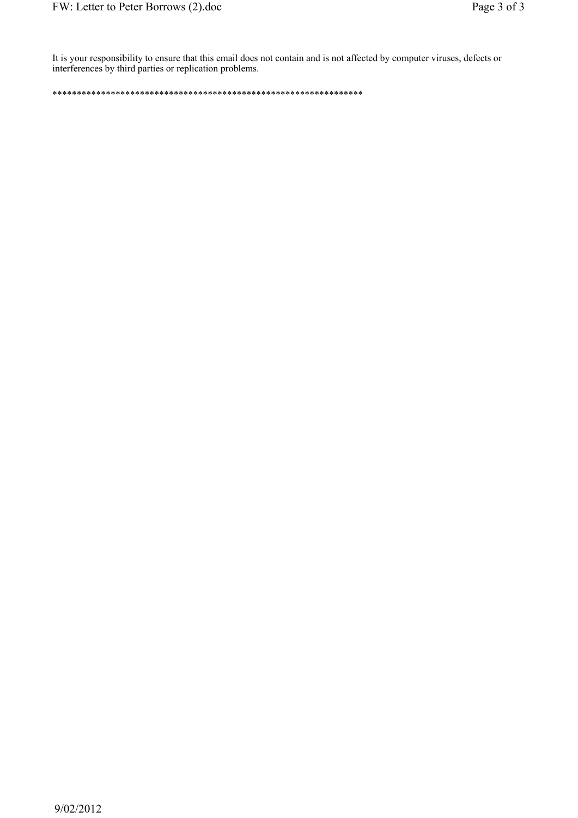It is your responsibility to ensure that this email does not contain and is not affected by computer viruses, defects or interferences by third parties or replication problems.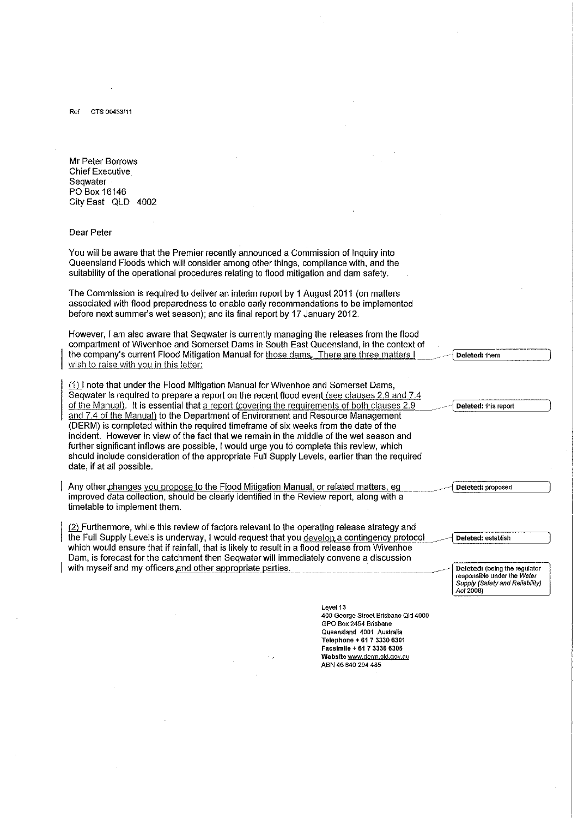Ref CTS 00433/11

Mr Peter Borrows **Chief Executive** Seqwater PO Box 16146 City East QLD 4002

## Dear Peter

You will be aware that the Premier recently announced a Commission of Inquiry into Queensland Floods which will consider among other things, compliance with, and the suitability of the operational procedures relating to flood mitigation and dam safety.

The Commission is required to deliver an interim report by 1 August 2011 (on matters associated with flood preparedness to enable early recommendations to be implemented before next summer's wet season); and its final report by 17 January 2012.

However, I am also aware that Seqwater is currently managing the releases from the flood compartment of Wivenhoe and Somerset Dams in South East Queensland, in the context of the company's current Flood Mitigation Manual for those dams. There are three matters I wish to raise with you in this letter:

(1) I note that under the Flood Mitigation Manual for Wivenhoe and Somerset Dams. Seqwater is required to prepare a report on the recent flood event (see clauses 2.9 and 7.4 of the Manual). It is essential that a report (covering the requirements of both clauses 2.9 and 7.4 of the Manual) to the Department of Environment and Resource Management (DERM) is completed within the required timeframe of six weeks from the date of the incident. However in view of the fact that we remain in the middle of the wet season and further significant inflows are possible, I would urge you to complete this review, which should include consideration of the appropriate Full Supply Levels, earlier than the required date, if at all possible.

Any other changes you propose to the Flood Mitigation Manual, or related matters, eg improved data collection, should be clearly identified in the Review report, along with a timetable to implement them.

(2) Furthermore, while this review of factors relevant to the operating release strategy and the Full Supply Levels is underway, I would request that you develop a contingency protocol which would ensure that if rainfall, that is likely to result in a flood release from Wivenhoe Dam, is forecast for the catchment then Seqwater will immediately convene a discussion with myself and my officers and other appropriate parties.

> Level 13 400 George Street Brisbane Qld 4000 GPO Box 2454 Brisbane Queensland 4001 Australia Telephone + 61 7 3330 6301 Facsimile + 61 7 3330 6306 Website www.derm.gld.gov.au ABN 46 640 294 485

Deleted: them

Deleted: this report

Deleted: proposed

Deleted: establish

Deleted: (being the regulator responsible under the Water Supply (Safety and Reliability)<br>Act 2008)